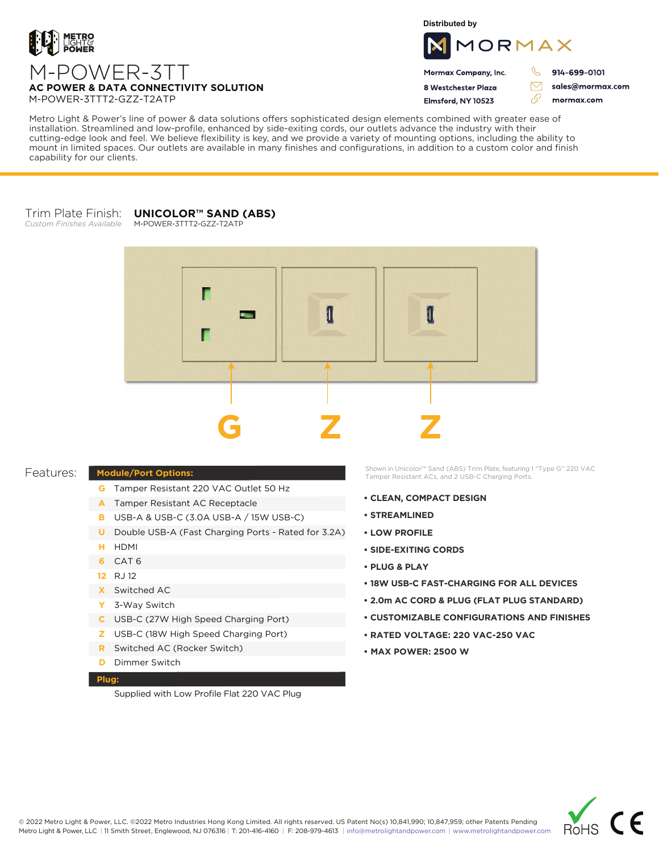

**Distributed by**



 $\triangledown$ 

76

Mormax Company, Inc. 8 Westchester Plaza

Flmsford, NY 10523

914-699-0101

sales@mormax.com mormax.com

**AC POWER & DATA CONNECTIVITY SOLUTION** M-POWER-3TTT2-GZZ-T2ATP

Metro Light & Power's line of power & data solutions offers sophisticated design elements combined with greater ease of installation. Streamlined and low-profile, enhanced by side-exiting cords, our outlets advance the industry with their cutting-edge look and feel. We believe flexibility is key, and we provide a variety of mounting options, including the ability to mount in limited spaces. Our outlets are available in many finishes and configurations, in addition to a custom color and finish capability for our clients.

#### Trim Plate Finish: **UNICOLOR™ SAND (ABS)** M-POWER-3TTT2-GZZ-T2ATP

*Custom Finishes Available*



## Features:

## **Module/Port Options:**

- **G** Tamper Resistant 220 VAC Outlet 50 Hz
- A Tamper Resistant AC Receptacle
- USB-A & USB-C (3.0A USB-A / 15W USB-C) **B**
- U Double USB-A (Fast Charging Ports Rated for 3.2A)
- HDMI **H**
- CAT 6 **6**
- 12 RJ 12
- Switched AC **X**
- 3-Way Switch **Y**
- USB-C (27W High Speed Charging Port) **C**
- USB-C (18W High Speed Charging Port) **Z**
- Switched AC (Rocker Switch) **R**
- **D** Dimmer Switch

#### **Plug:**

Supplied with Low Profile Flat 220 VAC Plug

Shown in Unicolor™ Sand (ABS) Trim Plate, featuring 1 "Type G" 220 VAC Tamper Resistant ACs, and 2 USB-C Charging Ports.

- **CLEAN, COMPACT DESIGN**
- **STREAMLINED**
- **LOW PROFILE**
- **SIDE-EXITING CORDS**
- **PLUG & PLAY**
- **18W USB-C FAST-CHARGING FOR ALL DEVICES**
- **2.0m AC CORD & PLUG (FLAT PLUG STANDARD)**
- **CUSTOMIZABLE CONFIGURATIONS AND FINISHES**
- **• RATED VOLTAGE: 220 VAC-250 VAC**
- **MAX POWER: 2500 W**